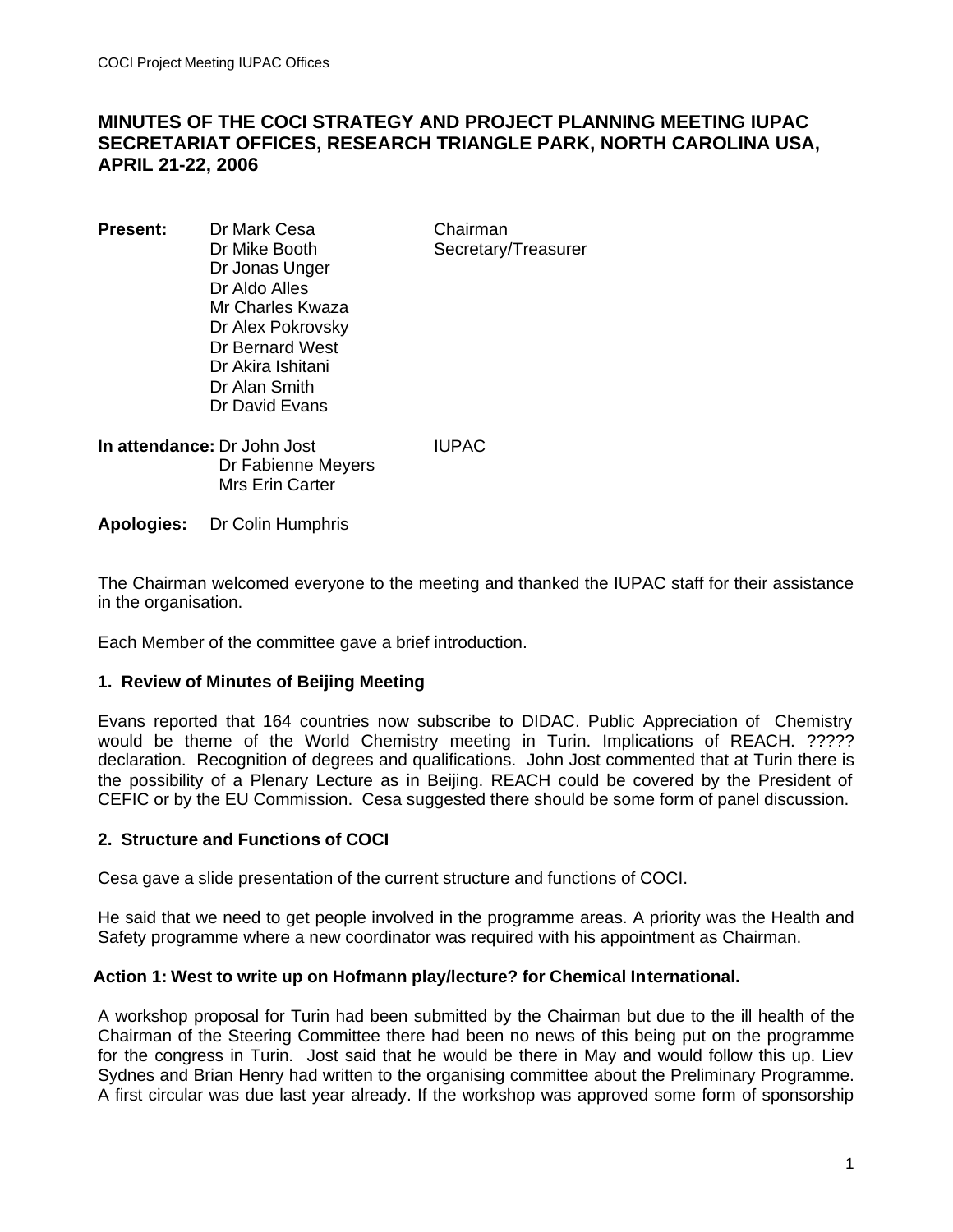# **MINUTES OF THE COCI STRATEGY AND PROJECT PLANNING MEETING IUPAC SECRETARIAT OFFICES, RESEARCH TRIANGLE PARK, NORTH CAROLINA USA, APRIL 21-22, 2006**

**Present:** Dr Mark Cesa Chairman Dr Mike Booth Secretary/Treasurer Dr Jonas Unger Dr Aldo Alles Mr Charles Kwaza Dr Alex Pokrovsky Dr Bernard West Dr Akira Ishitani Dr Alan Smith Dr David Evans

**In attendance:** Dr John Jost **IUPAC**  Dr Fabienne Meyers Mrs Erin Carter

**Apologies:** Dr Colin Humphris

The Chairman welcomed everyone to the meeting and thanked the IUPAC staff for their assistance in the organisation.

Each Member of the committee gave a brief introduction.

## **1. Review of Minutes of Beijing Meeting**

Evans reported that 164 countries now subscribe to DIDAC. Public Appreciation of Chemistry would be theme of the World Chemistry meeting in Turin. Implications of REACH. ????? declaration. Recognition of degrees and qualifications. John Jost commented that at Turin there is the possibility of a Plenary Lecture as in Beijing. REACH could be covered by the President of CEFIC or by the EU Commission. Cesa suggested there should be some form of panel discussion.

## **2. Structure and Functions of COCI**

Cesa gave a slide presentation of the current structure and functions of COCI.

He said that we need to get people involved in the programme areas. A priority was the Health and Safety programme where a new coordinator was required with his appointment as Chairman.

## **Action 1: West to write up on Hofmann play/lecture? for Chemical International.**

A workshop proposal for Turin had been submitted by the Chairman but due to the ill health of the Chairman of the Steering Committee there had been no news of this being put on the programme for the congress in Turin. Jost said that he would be there in May and would follow this up. Liev Sydnes and Brian Henry had written to the organising committee about the Preliminary Programme. A first circular was due last year already. If the workshop was approved some form of sponsorship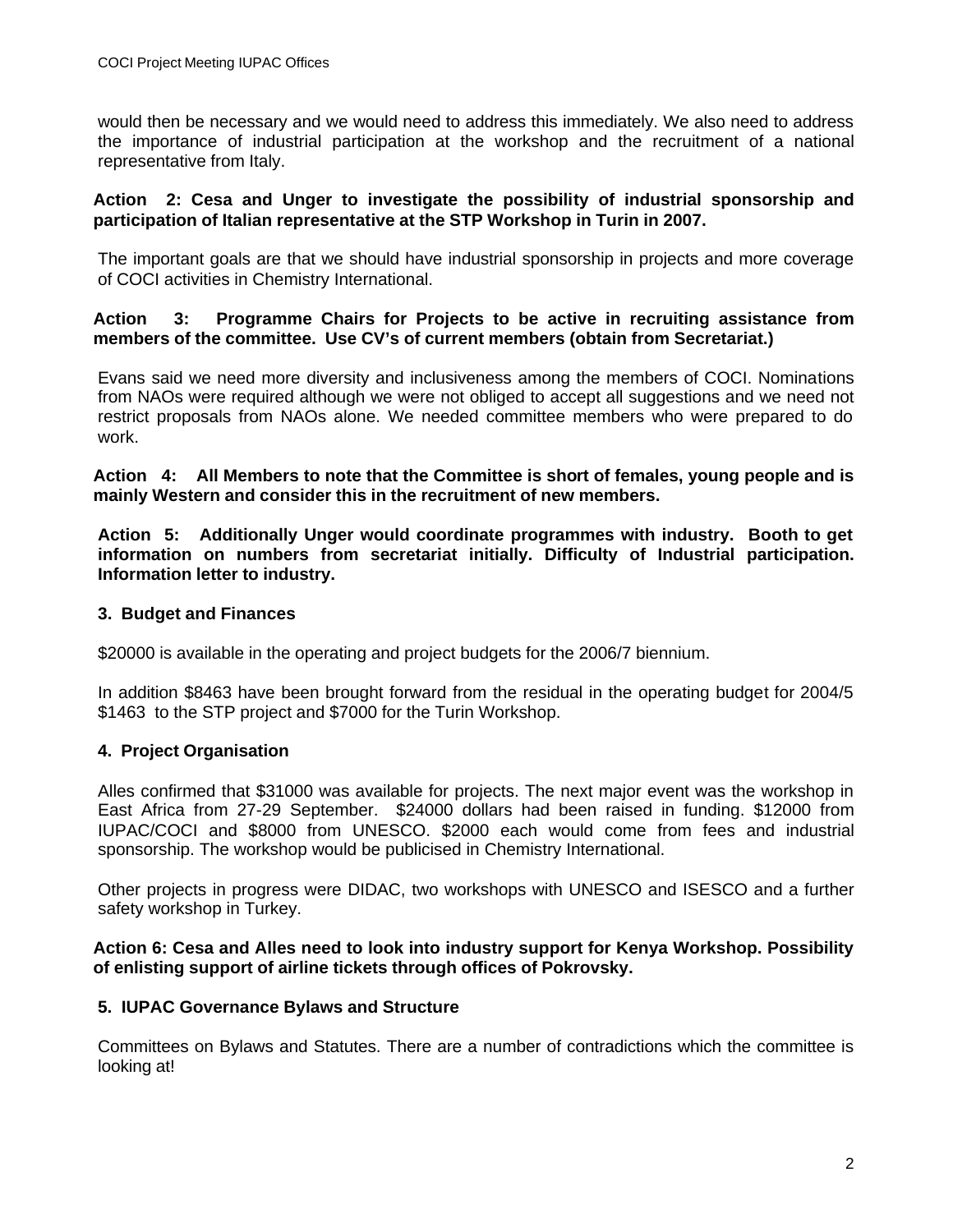would then be necessary and we would need to address this immediately. We also need to address the importance of industrial participation at the workshop and the recruitment of a national representative from Italy.

#### **Action 2: Cesa and Unger to investigate the possibility of industrial sponsorship and participation of Italian representative at the STP Workshop in Turin in 2007.**

The important goals are that we should have industrial sponsorship in projects and more coverage of COCI activities in Chemistry International.

## **Action 3: Programme Chairs for Projects to be active in recruiting assistance from members of the committee. Use CV's of current members (obtain from Secretariat.)**

Evans said we need more diversity and inclusiveness among the members of COCI. Nominations from NAOs were required although we were not obliged to accept all suggestions and we need not restrict proposals from NAOs alone. We needed committee members who were prepared to do work.

**Action 4: All Members to note that the Committee is short of females, young people and is mainly Western and consider this in the recruitment of new members.**

**Action 5: Additionally Unger would coordinate programmes with industry. Booth to get information on numbers from secretariat initially. Difficulty of Industrial participation. Information letter to industry.**

## **3. Budget and Finances**

\$20000 is available in the operating and project budgets for the 2006/7 biennium.

In addition \$8463 have been brought forward from the residual in the operating budget for 2004/5 \$1463 to the STP project and \$7000 for the Turin Workshop.

## **4. Project Organisation**

Alles confirmed that \$31000 was available for projects. The next major event was the workshop in East Africa from 27-29 September. \$24000 dollars had been raised in funding. \$12000 from IUPAC/COCI and \$8000 from UNESCO. \$2000 each would come from fees and industrial sponsorship. The workshop would be publicised in Chemistry International.

Other projects in progress were DIDAC, two workshops with UNESCO and ISESCO and a further safety workshop in Turkey.

#### **Action 6: Cesa and Alles need to look into industry support for Kenya Workshop. Possibility of enlisting support of airline tickets through offices of Pokrovsky.**

## **5. IUPAC Governance Bylaws and Structure**

Committees on Bylaws and Statutes. There are a number of contradictions which the committee is looking at!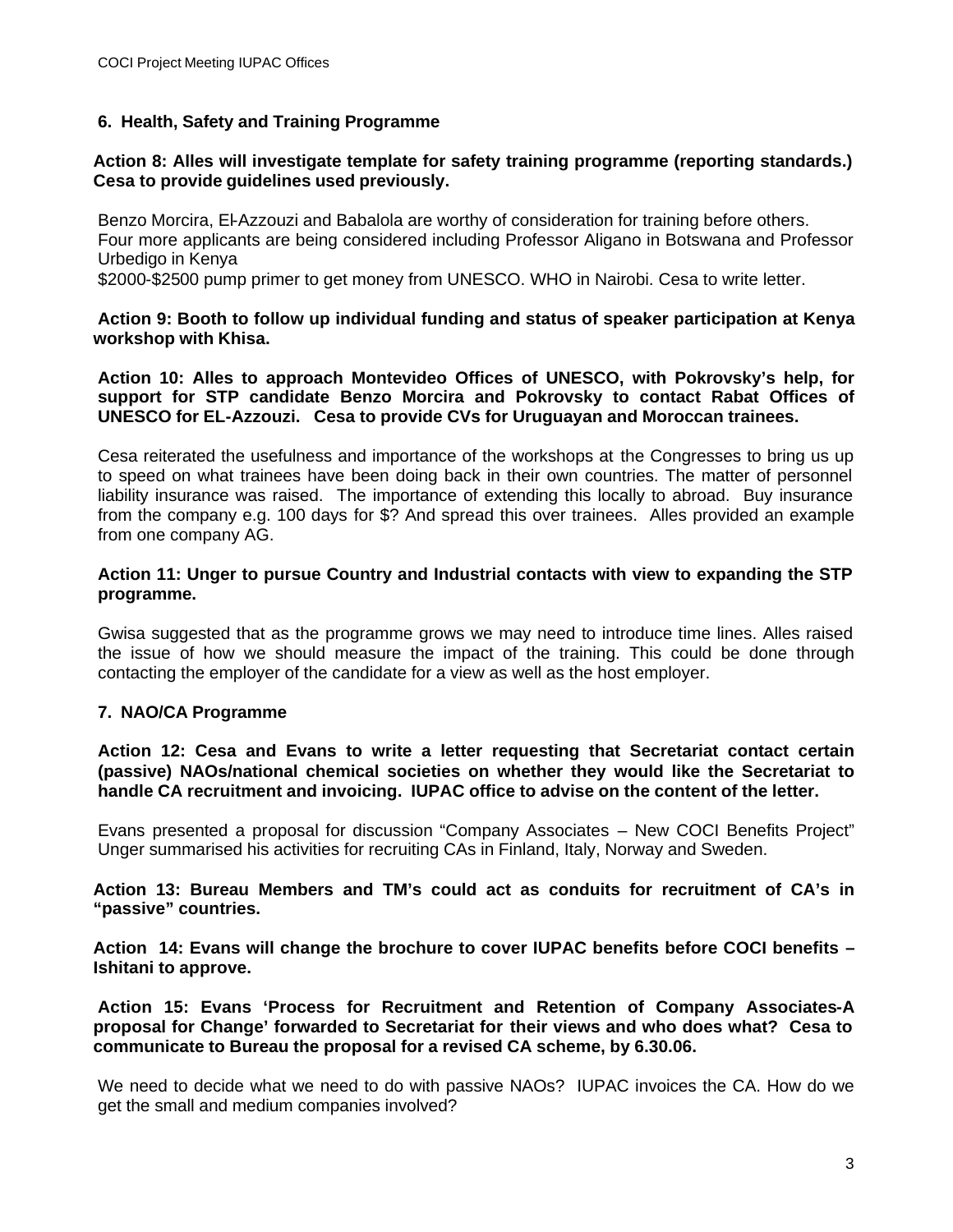## **6. Health, Safety and Training Programme**

#### **Action 8: Alles will investigate template for safety training programme (reporting standards.) Cesa to provide guidelines used previously.**

Benzo Morcira, El-Azzouzi and Babalola are worthy of consideration for training before others. Four more applicants are being considered including Professor Aligano in Botswana and Professor Urbedigo in Kenya

\$2000-\$2500 pump primer to get money from UNESCO. WHO in Nairobi. Cesa to write letter.

#### **Action 9: Booth to follow up individual funding and status of speaker participation at Kenya workshop with Khisa.**

**Action 10: Alles to approach Montevideo Offices of UNESCO, with Pokrovsky's help, for support for STP candidate Benzo Morcira and Pokrovsky to contact Rabat Offices of UNESCO for EL-Azzouzi. Cesa to provide CVs for Uruguayan and Moroccan trainees.**

Cesa reiterated the usefulness and importance of the workshops at the Congresses to bring us up to speed on what trainees have been doing back in their own countries. The matter of personnel liability insurance was raised. The importance of extending this locally to abroad. Buy insurance from the company e.g. 100 days for \$? And spread this over trainees. Alles provided an example from one company AG.

## **Action 11: Unger to pursue Country and Industrial contacts with view to expanding the STP programme.**

Gwisa suggested that as the programme grows we may need to introduce time lines. Alles raised the issue of how we should measure the impact of the training. This could be done through contacting the employer of the candidate for a view as well as the host employer.

## **7. NAO/CA Programme**

**Action 12: Cesa and Evans to write a letter requesting that Secretariat contact certain (passive) NAOs/national chemical societies on whether they would like the Secretariat to handle CA recruitment and invoicing. IUPAC office to advise on the content of the letter.**

Evans presented a proposal for discussion "Company Associates – New COCI Benefits Project" Unger summarised his activities for recruiting CAs in Finland, Italy, Norway and Sweden.

**Action 13: Bureau Members and TM's could act as conduits for recruitment of CA's in "passive" countries.** 

**Action 14: Evans will change the brochure to cover IUPAC benefits before COCI benefits – Ishitani to approve.**

 **Action 15: Evans 'Process for Recruitment and Retention of Company Associates-A proposal for Change' forwarded to Secretariat for their views and who does what? Cesa to communicate to Bureau the proposal for a revised CA scheme, by 6.30.06.**

We need to decide what we need to do with passive NAOs? IUPAC invoices the CA. How do we get the small and medium companies involved?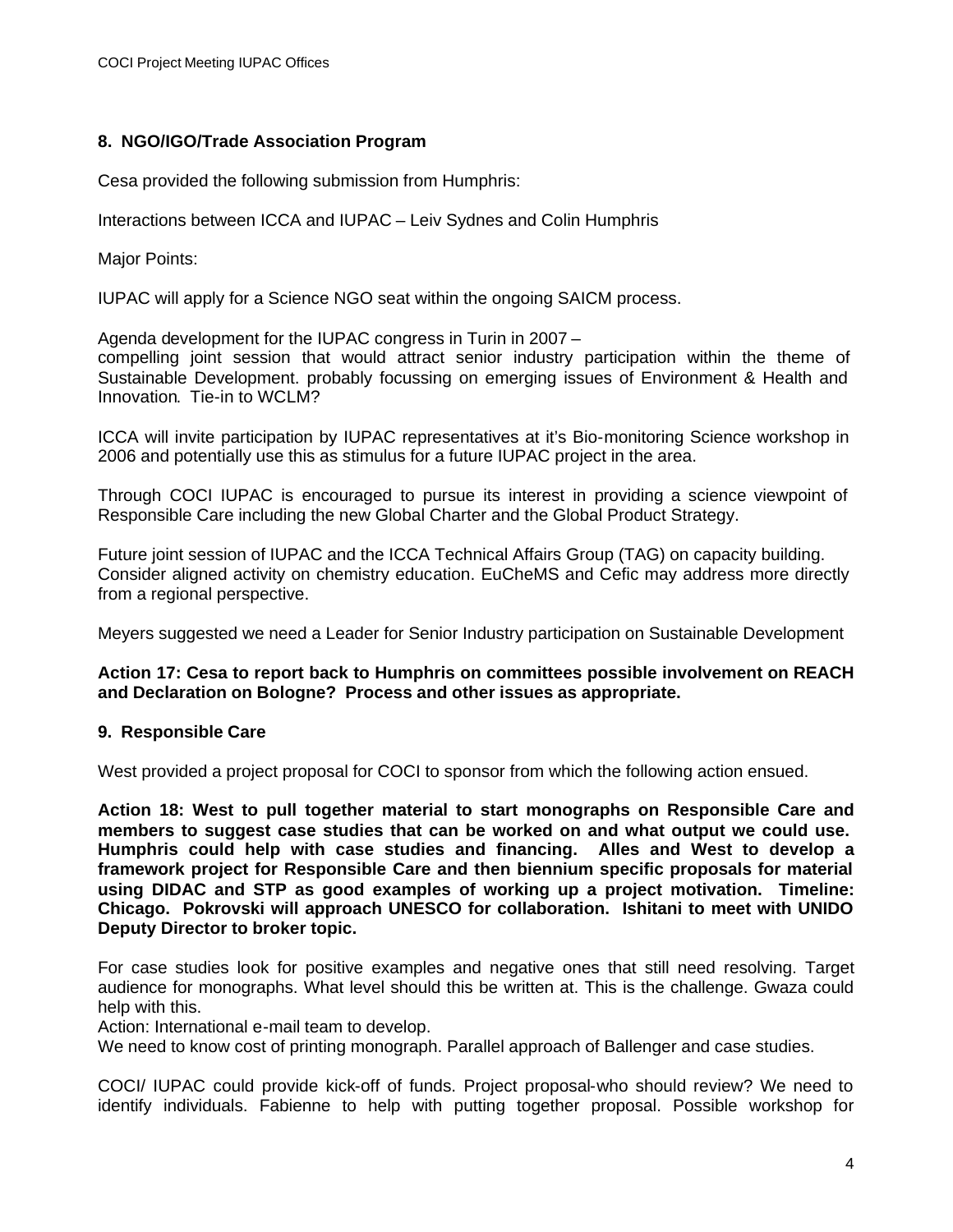#### **8. NGO/IGO/Trade Association Program**

Cesa provided the following submission from Humphris:

Interactions between ICCA and IUPAC – Leiv Sydnes and Colin Humphris

Major Points:

IUPAC will apply for a Science NGO seat within the ongoing SAICM process.

Agenda development for the IUPAC congress in Turin in 2007 –

compelling joint session that would attract senior industry participation within the theme of Sustainable Development. probably focussing on emerging issues of Environment & Health and Innovation. Tie-in to WCLM?

ICCA will invite participation by IUPAC representatives at it's Bio-monitoring Science workshop in 2006 and potentially use this as stimulus for a future IUPAC project in the area.

Through COCI IUPAC is encouraged to pursue its interest in providing a science viewpoint of Responsible Care including the new Global Charter and the Global Product Strategy.

Future joint session of IUPAC and the ICCA Technical Affairs Group (TAG) on capacity building. Consider aligned activity on chemistry education. EuCheMS and Cefic may address more directly from a regional perspective.

Meyers suggested we need a Leader for Senior Industry participation on Sustainable Development

#### **Action 17: Cesa to report back to Humphris on committees possible involvement on REACH and Declaration on Bologne? Process and other issues as appropriate.**

## **9. Responsible Care**

West provided a project proposal for COCI to sponsor from which the following action ensued.

**Action 18: West to pull together material to start monographs on Responsible Care and members to suggest case studies that can be worked on and what output we could use. Humphris could help with case studies and financing. Alles and West to develop a framework project for Responsible Care and then biennium specific proposals for material using DIDAC and STP as good examples of working up a project motivation. Timeline: Chicago. Pokrovski will approach UNESCO for collaboration. Ishitani to meet with UNIDO Deputy Director to broker topic.**

For case studies look for positive examples and negative ones that still need resolving. Target audience for monographs. What level should this be written at. This is the challenge. Gwaza could help with this.

Action: International e-mail team to develop.

We need to know cost of printing monograph. Parallel approach of Ballenger and case studies.

COCI/ IUPAC could provide kick-off of funds. Project proposal-who should review? We need to identify individuals. Fabienne to help with putting together proposal. Possible workshop for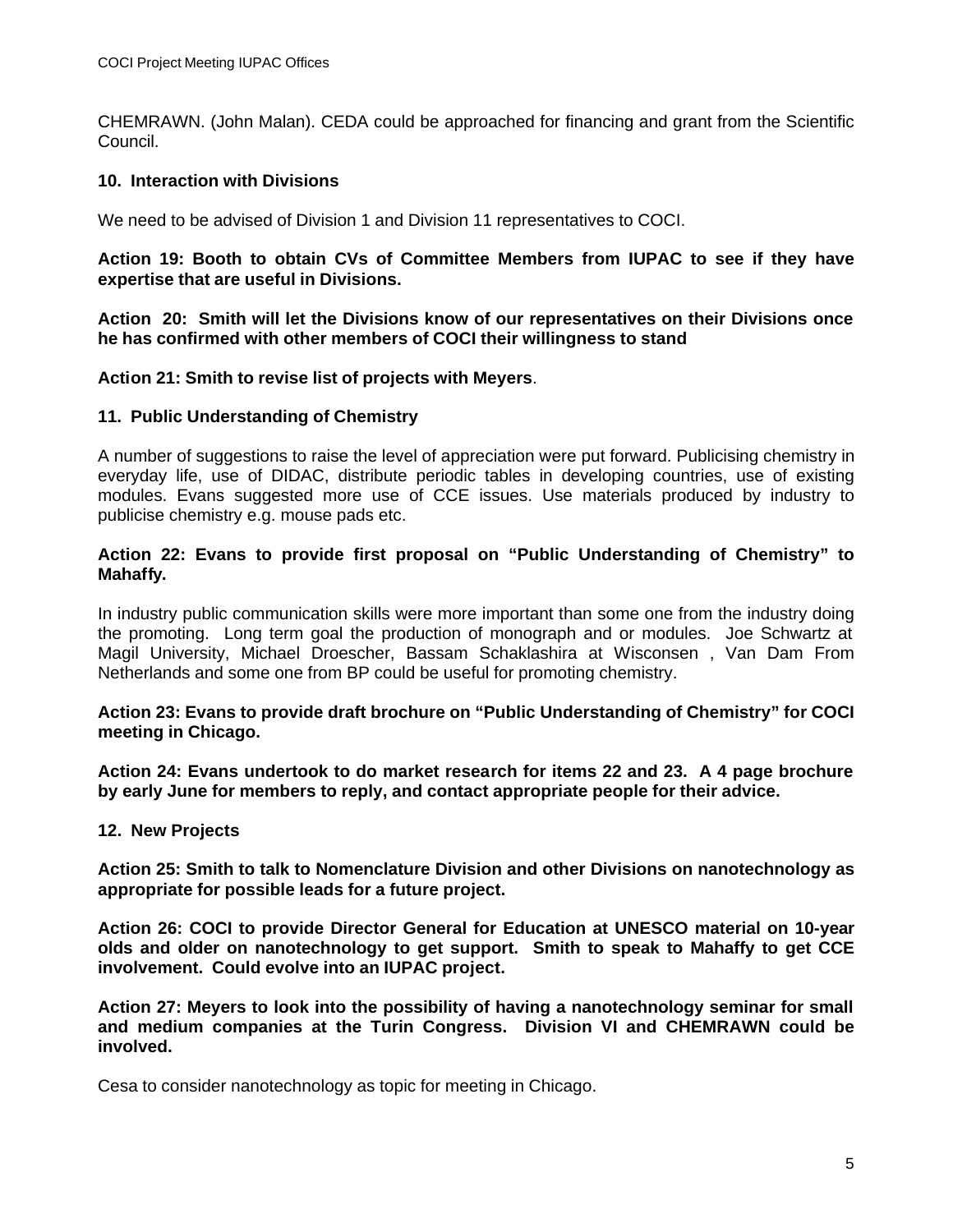CHEMRAWN. (John Malan). CEDA could be approached for financing and grant from the Scientific Council.

## **10. Interaction with Divisions**

We need to be advised of Division 1 and Division 11 representatives to COCI.

**Action 19: Booth to obtain CVs of Committee Members from IUPAC to see if they have expertise that are useful in Divisions.**

**Action 20: Smith will let the Divisions know of our representatives on their Divisions once he has confirmed with other members of COCI their willingness to stand**

#### **Action 21: Smith to revise list of projects with Meyers**.

#### **11. Public Understanding of Chemistry**

A number of suggestions to raise the level of appreciation were put forward. Publicising chemistry in everyday life, use of DIDAC, distribute periodic tables in developing countries, use of existing modules. Evans suggested more use of CCE issues. Use materials produced by industry to publicise chemistry e.g. mouse pads etc.

#### **Action 22: Evans to provide first proposal on "Public Understanding of Chemistry" to Mahaffy.**

In industry public communication skills were more important than some one from the industry doing the promoting. Long term goal the production of monograph and or modules. Joe Schwartz at Magil University, Michael Droescher, Bassam Schaklashira at Wisconsen , Van Dam From Netherlands and some one from BP could be useful for promoting chemistry.

**Action 23: Evans to provide draft brochure on "Public Understanding of Chemistry" for COCI meeting in Chicago.**

**Action 24: Evans undertook to do market research for items 22 and 23. A 4 page brochure by early June for members to reply, and contact appropriate people for their advice.**

**12. New Projects**

**Action 25: Smith to talk to Nomenclature Division and other Divisions on nanotechnology as appropriate for possible leads for a future project.**

**Action 26: COCI to provide Director General for Education at UNESCO material on 10-year olds and older on nanotechnology to get support. Smith to speak to Mahaffy to get CCE involvement. Could evolve into an IUPAC project.**

**Action 27: Meyers to look into the possibility of having a nanotechnology seminar for small and medium companies at the Turin Congress. Division VI and CHEMRAWN could be involved.**

Cesa to consider nanotechnology as topic for meeting in Chicago.